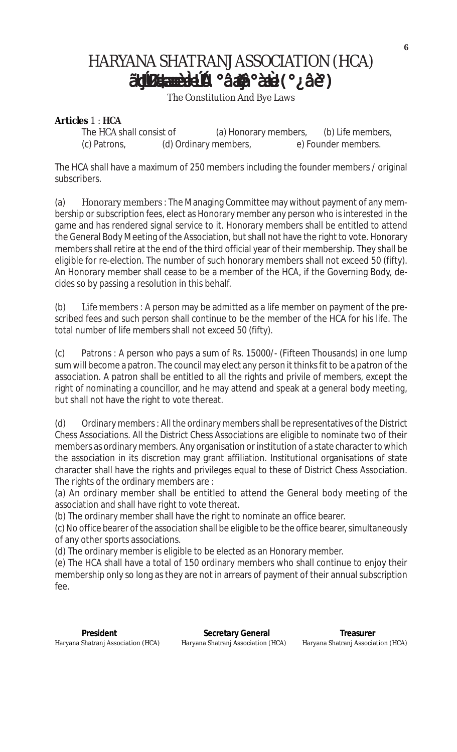# HARYANA SHATRANJ ASSOCIATION (HCA) ãuu (°¿âè°àæè°àūÙ (°¿âè°) ãu dissemblyà

The Constitution And Bye Laws

# **Articles** 1 : **HCA**

The HCA shall consist of (a) Honorary members, (b) Life members, (c) Patrons, (d) Ordinary members, e) Founder members.

The HCA shall have a maximum of 250 members including the founder members / original subscribers.

(a) Honorary members : The Managing Committee may without payment of any membership or subscription fees, elect as Honorary member any person who is interested in the game and has rendered signal service to it. Honorary members shall be entitled to attend the General Body Meeting of the Association, but shall not have the right to vote. Honorary members shall retire at the end of the third official year of their membership. They shall be eligible for re-election. The number of such honorary members shall not exceed 50 (fifty). An Honorary member shall cease to be a member of the HCA, if the Governing Body, decides so by passing a resolution in this behalf.

(b) Life members : A person may be admitted as a life member on payment of the prescribed fees and such person shall continue to be the member of the HCA for his life. The total number of life members shall not exceed 50 (fifty).

(c) Patrons : A person who pays a sum of Rs. 15000/- (Fifteen Thousands) in one lump sum will become a patron. The council may elect any person it thinks fit to be a patron of the association. A patron shall be entitled to all the rights and privile of members, except the right of nominating a councillor, and he may attend and speak at a general body meeting, but shall not have the right to vote thereat.

(d) Ordinary members : All the ordinary members shall be representatives of the District Chess Associations. All the District Chess Associations are eligible to nominate two of their members as ordinary members. Any organisation or institution of a state character to which the association in its discretion may grant affiliation. Institutional organisations of state character shall have the rights and privileges equal to these of District Chess Association. The rights of the ordinary members are :

(a) An ordinary member shall be entitled to attend the General body meeting of the association and shall have right to vote thereat.

(b) The ordinary member shall have the right to nominate an office bearer.

(c) No office bearer of the association shall be eligible to be the office bearer, simultaneously of any other sports associations.

(d) The ordinary member is eligible to be elected as an Honorary member.

(e) The HCA shall have a total of 150 ordinary members who shall continue to enjoy their membership only so long as they are not in arrears of payment of their annual subscription fee.

**President Contract Contract Secretary General Treasurer** Treasurer Haryana Shatranj Association (HCA) Haryana Shatranj Association (HCA) Haryana Shatranj Association (HCA)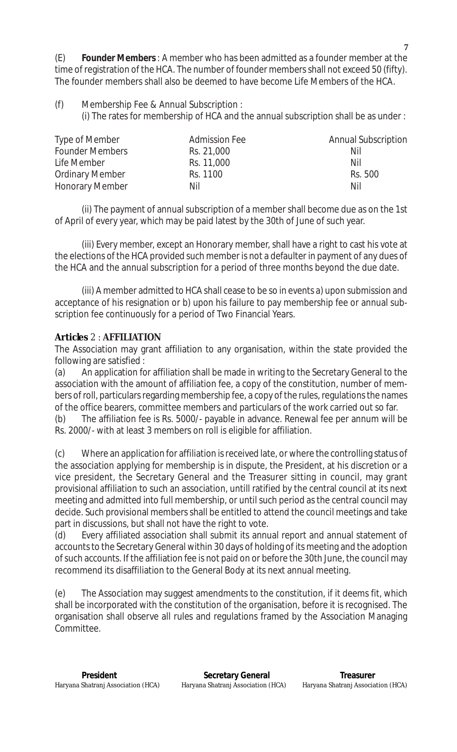(E) **Founder Members** : A member who has been admitted as a founder member at the time of registration of the HCA. The number of founder members shall not exceed 50 (fifty). The founder members shall also be deemed to have become Life Members of the HCA.

(f) Membership Fee & Annual Subscription : (i) The rates for membership of HCA and the annual subscription shall be as under :

| Type of Member         | <b>Admission Fee</b> | <b>Annual Subscription</b> |
|------------------------|----------------------|----------------------------|
| <b>Founder Members</b> | Rs. 21,000           | Nil                        |
| Life Member            | Rs. 11,000           | Nil                        |
| <b>Ordinary Member</b> | Rs. 1100             | Rs. 500                    |
| <b>Honorary Member</b> | Nil                  | Nil                        |

(ii) The payment of annual subscription of a member shall become due as on the 1st of April of every year, which may be paid latest by the 30th of June of such year.

(iii) Every member, except an Honorary member, shall have a right to cast his vote at the elections of the HCA provided such member is not a defaulter in payment of any dues of the HCA and the annual subscription for a period of three months beyond the due date.

(iii) A member admitted to HCA shall cease to be so in events a) upon submission and acceptance of his resignation or b) upon his failure to pay membership fee or annual subscription fee continuously for a period of Two Financial Years.

# **Articles** 2 : **AFFILIATION**

The Association may grant affiliation to any organisation, within the state provided the following are satisfied :

(a) An application for affiliation shall be made in writing to the Secretary General to the association with the amount of affiliation fee, a copy of the constitution, number of members of roll, particulars regarding membership fee, a copy of the rules, regulations the names of the office bearers, committee members and particulars of the work carried out so far.

(b) The affiliation fee is Rs. 5000/- payable in advance. Renewal fee per annum will be Rs. 2000/- with at least 3 members on roll is eligible for affiliation.

(c) Where an application for affiliation is received late, or where the controlling status of the association applying for membership is in dispute, the President, at his discretion or a vice president, the Secretary General and the Treasurer sitting in council, may grant provisional affiliation to such an association, untill ratified by the central council at its next meeting and admitted into full membership, or until such period as the central council may decide. Such provisional members shall be entitled to attend the council meetings and take part in discussions, but shall not have the right to vote.

(d) Every affiliated association shall submit its annual report and annual statement of accounts to the Secretary General within 30 days of holding of its meeting and the adoption of such accounts. If the affiliation fee is not paid on or before the 30th June, the council may recommend its disaffiliation to the General Body at its next annual meeting.

(e) The Association may suggest amendments to the constitution, if it deems fit, which shall be incorporated with the constitution of the organisation, before it is recognised. The organisation shall observe all rules and regulations framed by the Association Managing Committee.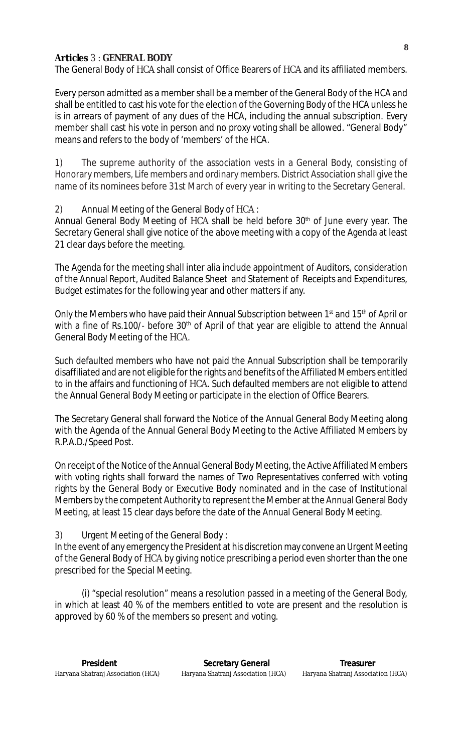## **Articles** 3 : **GENERAL BODY**

The General Body of HCA shall consist of Office Bearers of HCA and its affiliated members.

Every person admitted as a member shall be a member of the General Body of the HCA and shall be entitled to cast his vote for the election of the Governing Body of the HCA unless he is in arrears of payment of any dues of the HCA, including the annual subscription. Every member shall cast his vote in person and no proxy voting shall be allowed. "General Body" means and refers to the body of 'members' of the HCA.

1) The supreme authority of the association vests in a General Body, consisting of Honorary members, Life members and ordinary members. District Association shall give the name of its nominees before 31st March of every year in writing to the Secretary General.

## 2) Annual Meeting of the General Body of HCA :

Annual General Body Meeting of HCA shall be held before 30<sup>th</sup> of June every year. The Secretary General shall give notice of the above meeting with a copy of the Agenda at least 21 clear days before the meeting.

The Agenda for the meeting shall inter alia include appointment of Auditors, consideration of the Annual Report, Audited Balance Sheet and Statement of Receipts and Expenditures, Budget estimates for the following year and other matters if any.

Only the Members who have paid their Annual Subscription between 1<sup>st</sup> and 15<sup>th</sup> of April or with a fine of Rs.100/- before  $30<sup>th</sup>$  of April of that year are eligible to attend the Annual General Body Meeting of the HCA.

Such defaulted members who have not paid the Annual Subscription shall be temporarily disaffiliated and are not eligible for the rights and benefits of the Affiliated Members entitled to in the affairs and functioning of HCA. Such defaulted members are not eligible to attend the Annual General Body Meeting or participate in the election of Office Bearers.

The Secretary General shall forward the Notice of the Annual General Body Meeting along with the Agenda of the Annual General Body Meeting to the Active Affiliated Members by R.P.A.D./Speed Post.

On receipt of the Notice of the Annual General Body Meeting, the Active Affiliated Members with voting rights shall forward the names of Two Representatives conferred with voting rights by the General Body or Executive Body nominated and in the case of Institutional Members by the competent Authority to represent the Member at the Annual General Body Meeting, at least 15 clear days before the date of the Annual General Body Meeting.

#### 3) Urgent Meeting of the General Body :

In the event of any emergency the President at his discretion may convene an Urgent Meeting of the General Body of HCA by giving notice prescribing a period even shorter than the one prescribed for the Special Meeting.

(i) "special resolution" means a resolution passed in a meeting of the General Body, in which at least 40 % of the members entitled to vote are present and the resolution is approved by 60 % of the members so present and voting.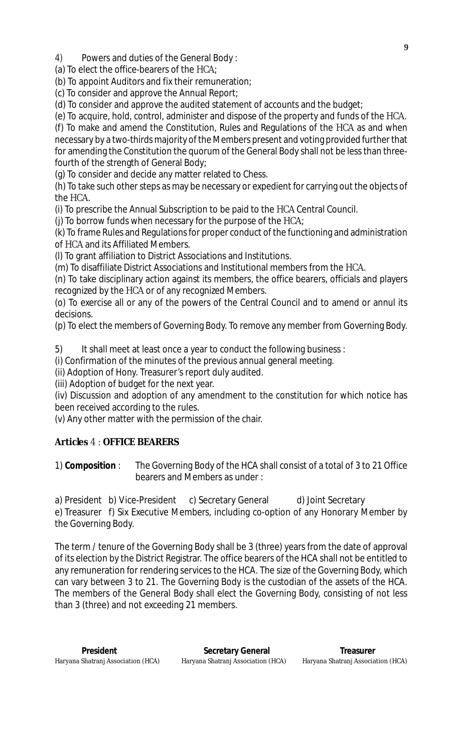4) Powers and duties of the General Body :

(a) To elect the office-bearers of the HCA;

(b) To appoint Auditors and fix their remuneration;

(c) To consider and approve the Annual Report;

(d) To consider and approve the audited statement of accounts and the budget;

(e) To acquire, hold, control, administer and dispose of the property and funds of the HCA.

(f) To make and amend the Constitution, Rules and Regulations of the HCA as and when necessary by a two-thirds majority of the Members present and voting provided further that for amending the Constitution the quorum of the General Body shall not be less than threefourth of the strength of General Body;

(g) To consider and decide any matter related to Chess.

(h) To take such other steps as may be necessary or expedient for carrying out the objects of the HCA.

(i) To prescribe the Annual Subscription to be paid to the HCA Central Council.

(j) To borrow funds when necessary for the purpose of the HCA;

(k) To frame Rules and Regulations for proper conduct of the functioning and administration of HCA and its Affiliated Members.

(l) To grant affiliation to District Associations and Institutions.

(m) To disaffiliate District Associations and Institutional members from the HCA.

(n) To take disciplinary action against its members, the office bearers, officials and players recognized by the HCA or of any recognized Members.

(o) To exercise all or any of the powers of the Central Council and to amend or annul its decisions.

(p) To elect the members of Governing Body. To remove any member from Governing Body.

5) It shall meet at least once a year to conduct the following business :

(i) Confirmation of the minutes of the previous annual general meeting.

(ii) Adoption of Hony. Treasurer's report duly audited.

(iii) Adoption of budget for the next year.

(iv) Discussion and adoption of any amendment to the constitution for which notice has been received according to the rules.

(v) Any other matter with the permission of the chair.

## **Articles** 4 : **OFFICE BEARERS**

1) **Composition** : The Governing Body of the HCA shall consist of a total of 3 to 21 Office bearers and Members as under :

a) President b) Vice-President c) Secretary General d) Joint Secretary e) Treasurer f) Six Executive Members, including co-option of any Honorary Member by the Governing Body.

The term / tenure of the Governing Body shall be 3 (three) years from the date of approval of its election by the District Registrar. The office bearers of the HCA shall not be entitled to any remuneration for rendering services to the HCA. The size of the Governing Body, which can vary between 3 to 21. The Governing Body is the custodian of the assets of the HCA. The members of the General Body shall elect the Governing Body, consisting of not less than 3 (three) and not exceeding 21 members.

 **9**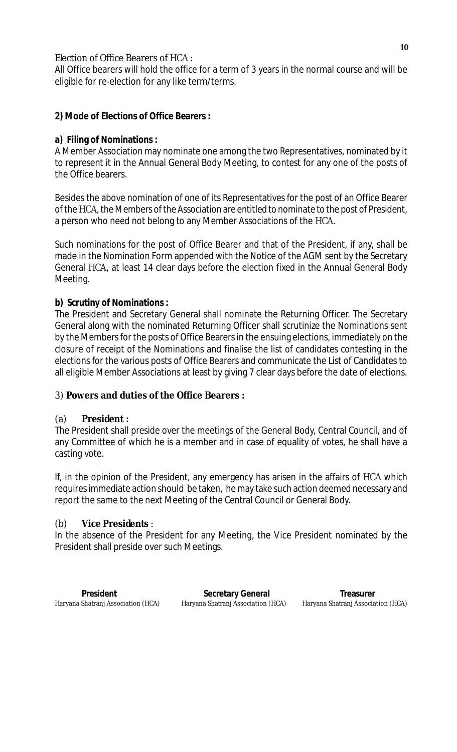## Election of Office Bearers of HCA :

All Office bearers will hold the office for a term of 3 years in the normal course and will be eligible for re-election for any like term/terms.

## **2) Mode of Elections of Office Bearers :**

## **a) Filing of Nominations :**

A Member Association may nominate one among the two Representatives, nominated by it to represent it in the Annual General Body Meeting, to contest for any one of the posts of the Office bearers.

Besides the above nomination of one of its Representatives for the post of an Office Bearer of the HCA, the Members of the Association are entitled to nominate to the post of President, a person who need not belong to any Member Associations of the HCA.

Such nominations for the post of Office Bearer and that of the President, if any, shall be made in the Nomination Form appended with the Notice of the AGM sent by the Secretary General HCA, at least 14 clear days before the election fixed in the Annual General Body Meeting.

## **b) Scrutiny of Nominations :**

The President and Secretary General shall nominate the Returning Officer. The Secretary General along with the nominated Returning Officer shall scrutinize the Nominations sent by the Members for the posts of Office Bearers in the ensuing elections, immediately on the closure of receipt of the Nominations and finalise the list of candidates contesting in the elections for the various posts of Office Bearers and communicate the List of Candidates to all eligible Member Associations at least by giving 7 clear days before the date of elections.

## 3) **Powers and duties of the Office Bearers :**

## (a) **President :**

The President shall preside over the meetings of the General Body, Central Council, and of any Committee of which he is a member and in case of equality of votes, he shall have a casting vote.

If, in the opinion of the President, any emergency has arisen in the affairs of HCA which requires immediate action should be taken, he may take such action deemed necessary and report the same to the next Meeting of the Central Council or General Body.

## (b) **Vice Presidents** :

In the absence of the President for any Meeting, the Vice President nominated by the President shall preside over such Meetings.

| President                          | <b>Secretary General</b>           | Treasurer                          |
|------------------------------------|------------------------------------|------------------------------------|
| Haryana Shatranj Association (HCA) | Haryana Shatranj Association (HCA) | Haryana Shatranj Association (HCA) |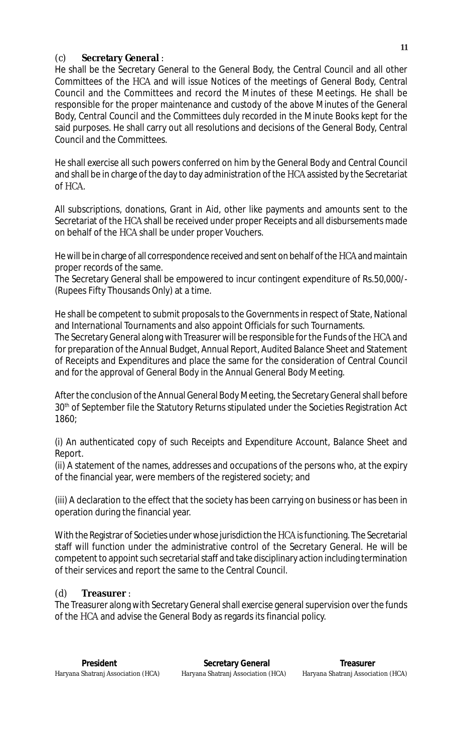## (c) **Secretary General** :

He shall be the Secretary General to the General Body, the Central Council and all other Committees of the HCA and will issue Notices of the meetings of General Body, Central Council and the Committees and record the Minutes of these Meetings. He shall be responsible for the proper maintenance and custody of the above Minutes of the General Body, Central Council and the Committees duly recorded in the Minute Books kept for the said purposes. He shall carry out all resolutions and decisions of the General Body, Central Council and the Committees.

He shall exercise all such powers conferred on him by the General Body and Central Council and shall be in charge of the day to day administration of the HCA assisted by the Secretariat of HCA.

All subscriptions, donations, Grant in Aid, other like payments and amounts sent to the Secretariat of the HCA shall be received under proper Receipts and all disbursements made on behalf of the HCA shall be under proper Vouchers.

He will be in charge of all correspondence received and sent on behalf of the HCA and maintain proper records of the same.

The Secretary General shall be empowered to incur contingent expenditure of Rs.50,000/- (Rupees Fifty Thousands Only) at a time.

He shall be competent to submit proposals to the Governments in respect of State, National and International Tournaments and also appoint Officials for such Tournaments. The Secretary General along with Treasurer will be responsible for the Funds of the HCA and

for preparation of the Annual Budget, Annual Report, Audited Balance Sheet and Statement of Receipts and Expenditures and place the same for the consideration of Central Council and for the approval of General Body in the Annual General Body Meeting.

After the conclusion of the Annual General Body Meeting, the Secretary General shall before 30<sup>th</sup> of September file the Statutory Returns stipulated under the Societies Registration Act 1860;

(i) An authenticated copy of such Receipts and Expenditure Account, Balance Sheet and Report.

(ii) A statement of the names, addresses and occupations of the persons who, at the expiry of the financial year, were members of the registered society; and

(iii) A declaration to the effect that the society has been carrying on business or has been in operation during the financial year.

With the Registrar of Societies under whose jurisdiction the HCA is functioning. The Secretarial staff will function under the administrative control of the Secretary General. He will be competent to appoint such secretarial staff and take disciplinary action including termination of their services and report the same to the Central Council.

# (d) **Treasurer** :

The Treasurer along with Secretary General shall exercise general supervision over the funds of the HCA and advise the General Body as regards its financial policy.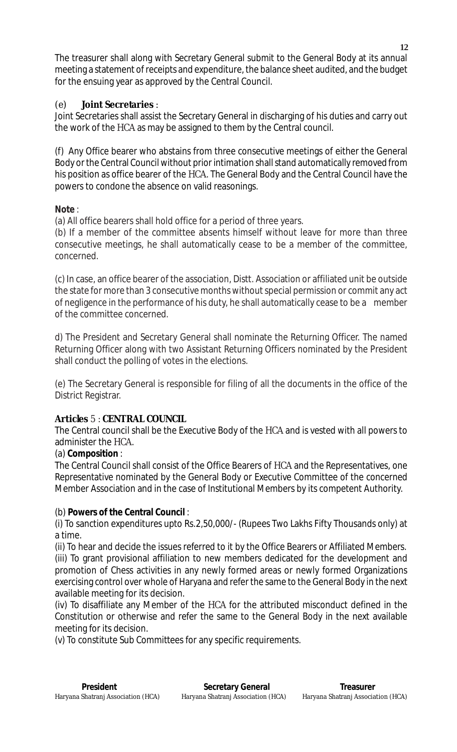The treasurer shall along with Secretary General submit to the General Body at its annual meeting a statement of receipts and expenditure, the balance sheet audited, and the budget for the ensuing year as approved by the Central Council.

# (e) **Joint Secretaries** :

Joint Secretaries shall assist the Secretary General in discharging of his duties and carry out the work of the HCA as may be assigned to them by the Central council.

(f) Any Office bearer who abstains from three consecutive meetings of either the General Body or the Central Council without prior intimation shall stand automatically removed from his position as office bearer of the HCA. The General Body and the Central Council have the powers to condone the absence on valid reasonings.

# **Note** :

(a) All office bearers shall hold office for a period of three years.

(b) If a member of the committee absents himself without leave for more than three consecutive meetings, he shall automatically cease to be a member of the committee, concerned.

(c) In case, an office bearer of the association, Distt. Association or affiliated unit be outside the state for more than 3 consecutive months without special permission or commit any act of negligence in the performance of his duty, he shall automatically cease to be a member of the committee concerned.

d) The President and Secretary General shall nominate the Returning Officer. The named Returning Officer along with two Assistant Returning Officers nominated by the President shall conduct the polling of votes in the elections.

(e) The Secretary General is responsible for filing of all the documents in the office of the District Registrar.

# **Articles** 5 : **CENTRAL COUNCIL**

The Central council shall be the Executive Body of the HCA and is vested with all powers to administer the HCA.

# (a) **Composition** :

The Central Council shall consist of the Office Bearers of HCA and the Representatives, one Representative nominated by the General Body or Executive Committee of the concerned Member Association and in the case of Institutional Members by its competent Authority.

# (b) **Powers of the Central Council** :

(i) To sanction expenditures upto Rs.2,50,000/- (Rupees Two Lakhs Fifty Thousands only) at a time.

(ii) To hear and decide the issues referred to it by the Office Bearers or Affiliated Members. (iii) To grant provisional affiliation to new members dedicated for the development and promotion of Chess activities in any newly formed areas or newly formed Organizations exercising control over whole of Haryana and refer the same to the General Body in the next available meeting for its decision.

(iv) To disaffiliate any Member of the HCA for the attributed misconduct defined in the Constitution or otherwise and refer the same to the General Body in the next available meeting for its decision.

(v) To constitute Sub Committees for any specific requirements.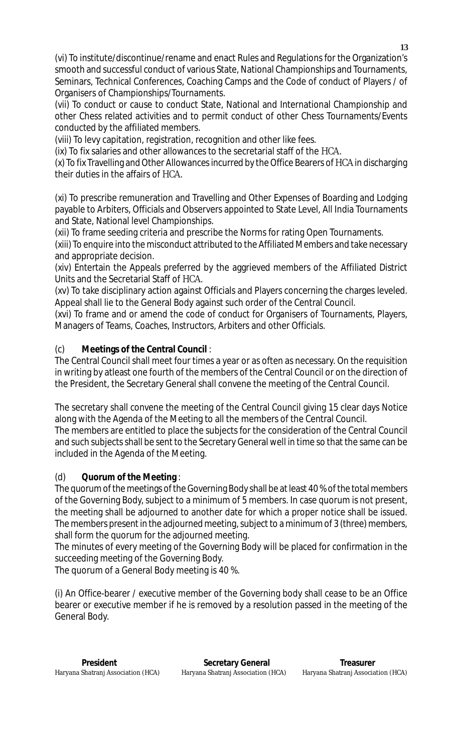(vi) To institute/discontinue/rename and enact Rules and Regulations for the Organization's smooth and successful conduct of various State, National Championships and Tournaments, Seminars, Technical Conferences, Coaching Camps and the Code of conduct of Players / of Organisers of Championships/Tournaments.

(vii) To conduct or cause to conduct State, National and International Championship and other Chess related activities and to permit conduct of other Chess Tournaments/Events conducted by the affiliated members.

(viii) To levy capitation, registration, recognition and other like fees.

(ix) To fix salaries and other allowances to the secretarial staff of the HCA.

(x) To fix Travelling and Other Allowances incurred by the Office Bearers of HCA in discharging their duties in the affairs of HCA.

(xi) To prescribe remuneration and Travelling and Other Expenses of Boarding and Lodging payable to Arbiters, Officials and Observers appointed to State Level, All India Tournaments and State, National level Championships.

(xii) To frame seeding criteria and prescribe the Norms for rating Open Tournaments.

(xiii) To enquire into the misconduct attributed to the Affiliated Members and take necessary and appropriate decision.

(xiv) Entertain the Appeals preferred by the aggrieved members of the Affiliated District Units and the Secretarial Staff of HCA.

(xv) To take disciplinary action against Officials and Players concerning the charges leveled. Appeal shall lie to the General Body against such order of the Central Council.

(xvi) To frame and or amend the code of conduct for Organisers of Tournaments, Players, Managers of Teams, Coaches, Instructors, Arbiters and other Officials.

# (c) **Meetings of the Central Council** :

The Central Council shall meet four times a year or as often as necessary. On the requisition in writing by atleast one fourth of the members of the Central Council or on the direction of the President, the Secretary General shall convene the meeting of the Central Council.

The secretary shall convene the meeting of the Central Council giving 15 clear days Notice along with the Agenda of the Meeting to all the members of the Central Council.

The members are entitled to place the subjects for the consideration of the Central Council and such subjects shall be sent to the Secretary General well in time so that the same can be included in the Agenda of the Meeting.

## (d) **Quorum of the Meeting** :

The quorum of the meetings of the Governing Body shall be at least 40 % of the total members of the Governing Body, subject to a minimum of 5 members. In case quorum is not present, the meeting shall be adjourned to another date for which a proper notice shall be issued. The members present in the adjourned meeting, subject to a minimum of 3 (three) members, shall form the quorum for the adjourned meeting.

The minutes of every meeting of the Governing Body will be placed for confirmation in the succeeding meeting of the Governing Body.

The quorum of a General Body meeting is 40 %.

(i) An Office-bearer / executive member of the Governing body shall cease to be an Office bearer or executive member if he is removed by a resolution passed in the meeting of the General Body.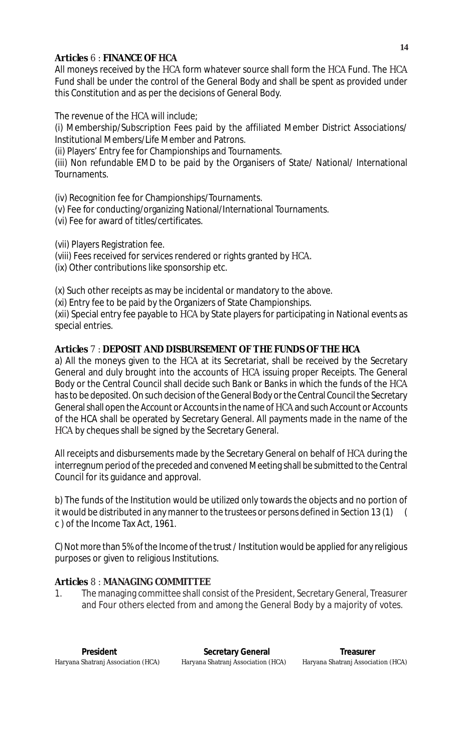## **Articles** 6 : **FINANCE OF HCA**

All moneys received by the HCA form whatever source shall form the HCA Fund. The HCA Fund shall be under the control of the General Body and shall be spent as provided under this Constitution and as per the decisions of General Body.

The revenue of the HCA will include;

(i) Membership/Subscription Fees paid by the affiliated Member District Associations/ Institutional Members/Life Member and Patrons.

(ii) Players' Entry fee for Championships and Tournaments.

(iii) Non refundable EMD to be paid by the Organisers of State/ National/ International Tournaments.

(iv) Recognition fee for Championships/Tournaments.

- (v) Fee for conducting/organizing National/International Tournaments.
- (vi) Fee for award of titles/certificates.

(vii) Players Registration fee.

(viii) Fees received for services rendered or rights granted by HCA.

(ix) Other contributions like sponsorship etc.

(x) Such other receipts as may be incidental or mandatory to the above.

(xi) Entry fee to be paid by the Organizers of State Championships.

(xii) Special entry fee payable to HCA by State players for participating in National events as special entries.

## **Articles** 7 : **DEPOSIT AND DISBURSEMENT OF THE FUNDS OF THE HCA**

a) All the moneys given to the HCA at its Secretariat, shall be received by the Secretary General and duly brought into the accounts of HCA issuing proper Receipts. The General Body or the Central Council shall decide such Bank or Banks in which the funds of the HCA has to be deposited. On such decision of the General Body or the Central Council the Secretary General shall open the Account or Accounts in the name of HCA and such Account or Accounts of the HCA shall be operated by Secretary General. All payments made in the name of the HCA by cheques shall be signed by the Secretary General.

All receipts and disbursements made by the Secretary General on behalf of HCA during the interregnum period of the preceded and convened Meeting shall be submitted to the Central Council for its guidance and approval.

b) The funds of the Institution would be utilized only towards the objects and no portion of it would be distributed in any manner to the trustees or persons defined in Section 13 (1) ( c ) of the Income Tax Act, 1961.

C) Not more than 5% of the Income of the trust / Institution would be applied for any religious purposes or given to religious Institutions.

# **Articles** 8 : **MANAGING COMMITTEE**

1. The managing committee shall consist of the President, Secretary General, Treasurer and Four others elected from and among the General Body by a majority of votes.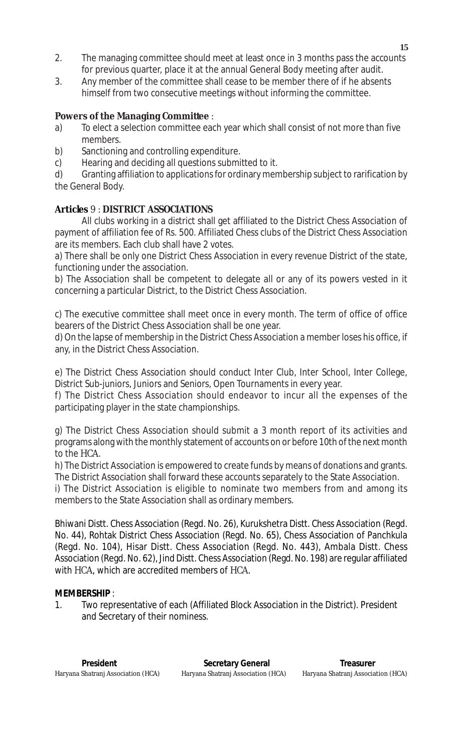- 2. The managing committee should meet at least once in 3 months pass the accounts for previous quarter, place it at the annual General Body meeting after audit.
- 3. Any member of the committee shall cease to be member there of if he absents himself from two consecutive meetings without informing the committee.

## **Powers of the Managing Committee** :

- a) To elect a selection committee each year which shall consist of not more than five members.
- b) Sanctioning and controlling expenditure.
- c) Hearing and deciding all questions submitted to it.

d) Granting affiliation to applications for ordinary membership subject to rarification by the General Body.

## **Articles** 9 : **DISTRICT ASSOCIATIONS**

All clubs working in a district shall get affiliated to the District Chess Association of payment of affiliation fee of Rs. 500. Affiliated Chess clubs of the District Chess Association are its members. Each club shall have 2 votes.

a) There shall be only one District Chess Association in every revenue District of the state, functioning under the association.

b) The Association shall be competent to delegate all or any of its powers vested in it concerning a particular District, to the District Chess Association.

c) The executive committee shall meet once in every month. The term of office of office bearers of the District Chess Association shall be one year.

d) On the lapse of membership in the District Chess Association a member loses his office, if any, in the District Chess Association.

e) The District Chess Association should conduct Inter Club, Inter School, Inter College, District Sub-juniors, Juniors and Seniors, Open Tournaments in every year.

f) The District Chess Association should endeavor to incur all the expenses of the participating player in the state championships.

g) The District Chess Association should submit a 3 month report of its activities and programs along with the monthly statement of accounts on or before 10th of the next month to the HCA.

h) The District Association is empowered to create funds by means of donations and grants. The District Association shall forward these accounts separately to the State Association.

i) The District Association is eligible to nominate two members from and among its members to the State Association shall as ordinary members.

Bhiwani Distt. Chess Association (Regd. No. 26), Kurukshetra Distt. Chess Association (Regd. No. 44), Rohtak District Chess Association (Regd. No. 65), Chess Association of Panchkula (Regd. No. 104), Hisar Distt. Chess Association (Regd. No. 443), Ambala Distt. Chess Association (Regd. No. 62), Jind Distt. Chess Association (Regd. No. 198) are regular affiliated with HCA, which are accredited members of HCA.

## **MEMBERSHIP** :

1. Two representative of each (Affiliated Block Association in the District). President and Secretary of their nominess.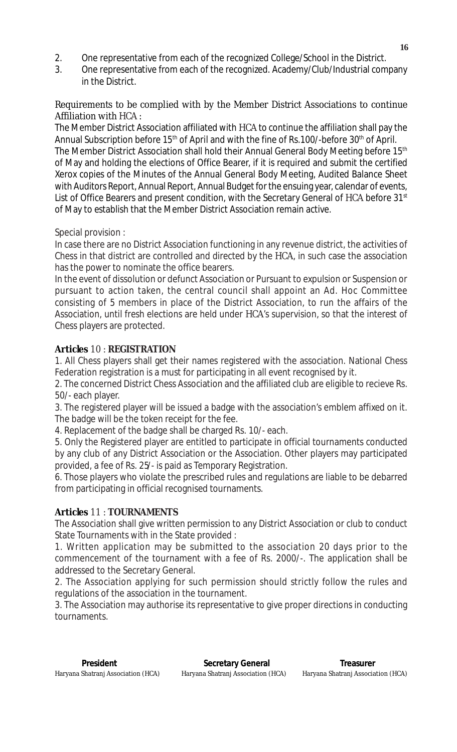- 2. One representative from each of the recognized College/School in the District.
- 3. One representative from each of the recognized. Academy/Club/Industrial company in the District.

## Requirements to be complied with by the Member District Associations to continue Affiliation with HCA :

The Member District Association affiliated with HCA to continue the affiliation shall pay the Annual Subscription before 15<sup>th</sup> of April and with the fine of Rs.100/-before 30<sup>th</sup> of April. The Member District Association shall hold their Annual General Body Meeting before 15<sup>th</sup> of May and holding the elections of Office Bearer, if it is required and submit the certified Xerox copies of the Minutes of the Annual General Body Meeting, Audited Balance Sheet with Auditors Report, Annual Report, Annual Budget for the ensuing year, calendar of events, List of Office Bearers and present condition, with the Secretary General of HCA before 31<sup>st</sup> of May to establish that the Member District Association remain active.

Special provision :

In case there are no District Association functioning in any revenue district, the activities of Chess in that district are controlled and directed by the HCA, in such case the association has the power to nominate the office bearers.

In the event of dissolution or defunct Association or Pursuant to expulsion or Suspension or pursuant to action taken, the central council shall appoint an Ad. Hoc Committee consisting of 5 members in place of the District Association, to run the affairs of the Association, until fresh elections are held under HCA's supervision, so that the interest of Chess players are protected.

# **Articles** 10 : **REGISTRATION**

1. All Chess players shall get their names registered with the association. National Chess Federation registration is a must for participating in all event recognised by it.

2. The concerned District Chess Association and the affiliated club are eligible to recieve Rs. 50/- each player.

3. The registered player will be issued a badge with the association's emblem affixed on it. The badge will be the token receipt for the fee.

4. Replacement of the badge shall be charged Rs. 10/- each.

5. Only the Registered player are entitled to participate in official tournaments conducted by any club of any District Association or the Association. Other players may participated provided, a fee of Rs. 25/- is paid as Temporary Registration.

6. Those players who violate the prescribed rules and regulations are liable to be debarred from participating in official recognised tournaments.

# **Articles** 11 : **TOURNAMENTS**

The Association shall give written permission to any District Association or club to conduct State Tournaments with in the State provided :

1. Written application may be submitted to the association 20 days prior to the commencement of the tournament with a fee of Rs. 2000/-. The application shall be addressed to the Secretary General.

2. The Association applying for such permission should strictly follow the rules and regulations of the association in the tournament.

3. The Association may authorise its representative to give proper directions in conducting tournaments.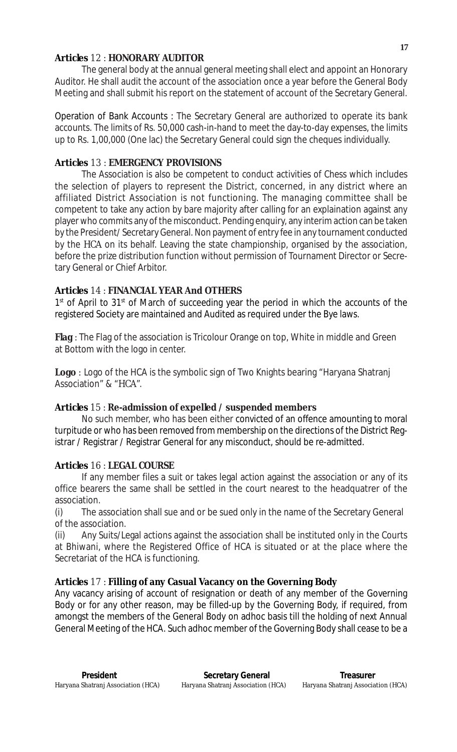#### **Articles** 12 : **HONORARY AUDITOR**

The general body at the annual general meeting shall elect and appoint an Honorary Auditor. He shall audit the account of the association once a year before the General Body Meeting and shall submit his report on the statement of account of the Secretary General.

Operation of Bank Accounts : The Secretary General are authorized to operate its bank accounts. The limits of Rs. 50,000 cash-in-hand to meet the day-to-day expenses, the limits up to Rs. 1,00,000 (One lac) the Secretary General could sign the cheques individually.

#### **Articles** 13 : **EMERGENCY PROVISIONS**

The Association is also be competent to conduct activities of Chess which includes the selection of players to represent the District, concerned, in any district where an affiliated District Association is not functioning. The managing committee shall be competent to take any action by bare majority after calling for an explaination against any player who commits any of the misconduct. Pending enquiry, any interim action can be taken by the President/ Secretary General. Non payment of entry fee in any tournament conducted by the HCA on its behalf. Leaving the state championship, organised by the association, before the prize distribution function without permission of Tournament Director or Secretary General or Chief Arbitor.

#### **Articles** 14 : **FINANCIAL YEAR And OTHERS**

 $1<sup>st</sup>$  of April to 31 $<sup>st</sup>$  of March of succeeding year the period in which the accounts of the</sup> registered Society are maintained and Audited as required under the Bye laws.

**Flag** : The Flag of the association is Tricolour Orange on top, White in middle and Green at Bottom with the logo in center.

**Logo** : Logo of the HCA is the symbolic sign of Two Knights bearing "Haryana Shatranj Association" & "HCA".

#### **Articles** 15 : **Re-admission of expelled / suspended members**

No such member, who has been either convicted of an offence amounting to moral turpitude or who has been removed from membership on the directions of the District Registrar / Registrar / Registrar General for any misconduct, should be re-admitted.

#### **Articles** 16 : **LEGAL COURSE**

If any member files a suit or takes legal action against the association or any of its office bearers the same shall be settled in the court nearest to the headquatrer of the association.

(i) The association shall sue and or be sued only in the name of the Secretary General of the association.

(ii) Any Suits/Legal actions against the association shall be instituted only in the Courts at Bhiwani, where the Registered Office of HCA is situated or at the place where the Secretariat of the HCA is functioning.

## **Articles** 17 : **Filling of any Casual Vacancy on the Governing Body**

Any vacancy arising of account of resignation or death of any member of the Governing Body or for any other reason, may be filled-up by the Governing Body, if required, from amongst the members of the General Body on adhoc basis till the holding of next Annual General Meeting of the HCA. Such adhoc member of the Governing Body shall cease to be a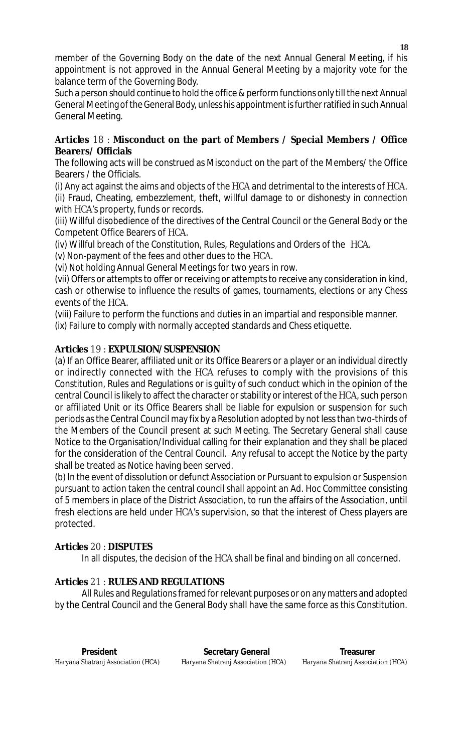member of the Governing Body on the date of the next Annual General Meeting, if his appointment is not approved in the Annual General Meeting by a majority vote for the balance term of the Governing Body.

Such a person should continue to hold the office & perform functions only till the next Annual General Meeting of the General Body, unless his appointment is further ratified in such Annual General Meeting.

## **Articles** 18 : **Misconduct on the part of Members / Special Members / Office Bearers/ Officials**

The following acts will be construed as Misconduct on the part of the Members/ the Office Bearers / the Officials.

(i) Any act against the aims and objects of the HCA and detrimental to the interests of HCA. (ii) Fraud, Cheating, embezzlement, theft, willful damage to or dishonesty in connection with HCA's property, funds or records.

(iii) Willful disobedience of the directives of the Central Council or the General Body or the Competent Office Bearers of HCA.

(iv) Willful breach of the Constitution, Rules, Regulations and Orders of the HCA.

(v) Non-payment of the fees and other dues to the HCA.

(vi) Not holding Annual General Meetings for two years in row.

(vii) Offers or attempts to offer or receiving or attempts to receive any consideration in kind, cash or otherwise to influence the results of games, tournaments, elections or any Chess events of the HCA.

(viii) Failure to perform the functions and duties in an impartial and responsible manner.

(ix) Failure to comply with normally accepted standards and Chess etiquette.

## **Articles** 19 : **EXPULSION/SUSPENSION**

(a) If an Office Bearer, affiliated unit or its Office Bearers or a player or an individual directly or indirectly connected with the HCA refuses to comply with the provisions of this Constitution, Rules and Regulations or is guilty of such conduct which in the opinion of the central Council is likely to affect the character or stability or interest of the HCA, such person or affiliated Unit or its Office Bearers shall be liable for expulsion or suspension for such periods as the Central Council may fix by a Resolution adopted by not less than two-thirds of the Members of the Council present at such Meeting. The Secretary General shall cause Notice to the Organisation/Individual calling for their explanation and they shall be placed for the consideration of the Central Council. Any refusal to accept the Notice by the party shall be treated as Notice having been served.

(b) In the event of dissolution or defunct Association or Pursuant to expulsion or Suspension pursuant to action taken the central council shall appoint an Ad. Hoc Committee consisting of 5 members in place of the District Association, to run the affairs of the Association, until fresh elections are held under HCA's supervision, so that the interest of Chess players are protected.

## **Articles** 20 : **DISPUTES**

In all disputes, the decision of the HCA shall be final and binding on all concerned.

## **Articles** 21 : **RULES AND REGULATIONS**

All Rules and Regulations framed for relevant purposes or on any matters and adopted by the Central Council and the General Body shall have the same force as this Constitution.

**President Construction Secretary General Construction Secretary General Construction Secretary General Construction**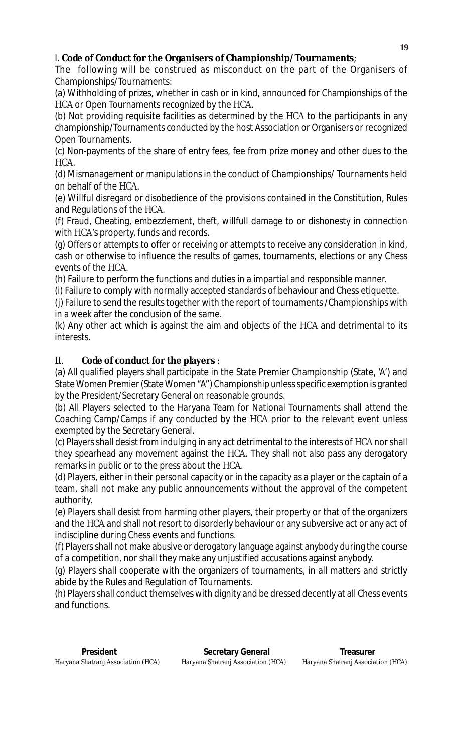# I. **Code of Conduct for the Organisers of Championship/Tournaments**;

The following will be construed as misconduct on the part of the Organisers of Championships/Tournaments:

(a) Withholding of prizes, whether in cash or in kind, announced for Championships of the HCA or Open Tournaments recognized by the HCA.

(b) Not providing requisite facilities as determined by the HCA to the participants in any championship/Tournaments conducted by the host Association or Organisers or recognized Open Tournaments.

(c) Non-payments of the share of entry fees, fee from prize money and other dues to the HCA.

(d) Mismanagement or manipulations in the conduct of Championships/ Tournaments held on behalf of the HCA.

(e) Willful disregard or disobedience of the provisions contained in the Constitution, Rules and Regulations of the HCA.

(f) Fraud, Cheating, embezzlement, theft, willfull damage to or dishonesty in connection with HCA's property, funds and records.

(g) Offers or attempts to offer or receiving or attempts to receive any consideration in kind, cash or otherwise to influence the results of games, tournaments, elections or any Chess events of the HCA.

(h) Failure to perform the functions and duties in a impartial and responsible manner.

(i) Failure to comply with normally accepted standards of behaviour and Chess etiquette.

(j) Failure to send the results together with the report of tournaments /Championships with in a week after the conclusion of the same.

(k) Any other act which is against the aim and objects of the HCA and detrimental to its interests.

## II. **Code of conduct for the players** :

(a) All qualified players shall participate in the State Premier Championship (State, 'A') and State Women Premier (State Women "A") Championship unless specific exemption is granted by the President/Secretary General on reasonable grounds.

(b) All Players selected to the Haryana Team for National Tournaments shall attend the Coaching Camp/Camps if any conducted by the HCA prior to the relevant event unless exempted by the Secretary General.

(c) Players shall desist from indulging in any act detrimental to the interests of HCA nor shall they spearhead any movement against the HCA. They shall not also pass any derogatory remarks in public or to the press about the HCA.

(d) Players, either in their personal capacity or in the capacity as a player or the captain of a team, shall not make any public announcements without the approval of the competent authority.

(e) Players shall desist from harming other players, their property or that of the organizers and the HCA and shall not resort to disorderly behaviour or any subversive act or any act of indiscipline during Chess events and functions.

(f) Players shall not make abusive or derogatory language against anybody during the course of a competition, nor shall they make any unjustified accusations against anybody.

(g) Players shall cooperate with the organizers of tournaments, in all matters and strictly abide by the Rules and Regulation of Tournaments.

(h) Players shall conduct themselves with dignity and be dressed decently at all Chess events and functions.

**President Secretary General Treasurer Shatranj Association (HCA)** Secretary General Shatranj Association (HCA) Shatranj Association (HCA) Haryana Shatranj Association (HCA) Haryana Shatranj Association (HCA) Haryana Shatranj Association (HCA)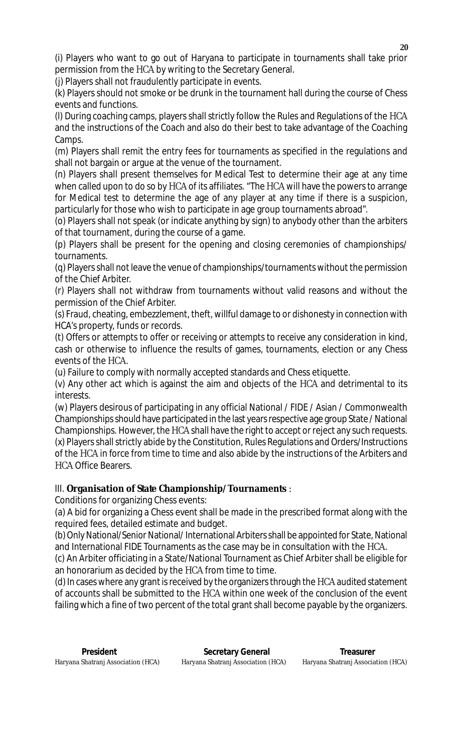(i) Players who want to go out of Haryana to participate in tournaments shall take prior permission from the HCA by writing to the Secretary General.

(j) Players shall not fraudulently participate in events.

(k) Players should not smoke or be drunk in the tournament hall during the course of Chess events and functions.

(l) During coaching camps, players shall strictly follow the Rules and Regulations of the HCA and the instructions of the Coach and also do their best to take advantage of the Coaching Camps.

(m) Players shall remit the entry fees for tournaments as specified in the regulations and shall not bargain or argue at the venue of the tournament.

(n) Players shall present themselves for Medical Test to determine their age at any time when called upon to do so by HCA of its affiliates. "The HCA will have the powers to arrange for Medical test to determine the age of any player at any time if there is a suspicion, particularly for those who wish to participate in age group tournaments abroad".

(o) Players shall not speak (or indicate anything by sign) to anybody other than the arbiters of that tournament, during the course of a game.

(p) Players shall be present for the opening and closing ceremonies of championships/ tournaments.

(q) Players shall not leave the venue of championships/tournaments without the permission of the Chief Arbiter.

(r) Players shall not withdraw from tournaments without valid reasons and without the permission of the Chief Arbiter.

(s) Fraud, cheating, embezzlement, theft, willful damage to or dishonesty in connection with HCA's property, funds or records.

(t) Offers or attempts to offer or receiving or attempts to receive any consideration in kind, cash or otherwise to influence the results of games, tournaments, election or any Chess events of the HCA.

(u) Failure to comply with normally accepted standards and Chess etiquette.

(v) Any other act which is against the aim and objects of the HCA and detrimental to its interests.

(w) Players desirous of participating in any official National / FIDE / Asian / Commonwealth Championships should have participated in the last years respective age group State / National Championships. However, the HCA shall have the right to accept or reject any such requests. (x) Players shall strictly abide by the Constitution, Rules Regulations and Orders/Instructions of the HCA in force from time to time and also abide by the instructions of the Arbiters and HCA Office Bearers.

# III. **Organisation of State Championship/Tournaments** :

Conditions for organizing Chess events:

(a) A bid for organizing a Chess event shall be made in the prescribed format along with the required fees, detailed estimate and budget.

(b) Only National/Senior National/ International Arbiters shall be appointed for State, National and International FIDE Tournaments as the case may be in consultation with the HCA.

(c) An Arbiter officiating in a State/National Tournament as Chief Arbiter shall be eligible for an honorarium as decided by the HCA from time to time.

(d) In cases where any grant is received by the organizers through the HCA audited statement of accounts shall be submitted to the HCA within one week of the conclusion of the event failing which a fine of two percent of the total grant shall become payable by the organizers.

**President President Secretary General President Secretary General Preasurer**<br>Haryana Shatranj Association (HCA) Haryana Shatranj Association (HCA) Haryana Shatranj Association (HCA) Haryana Shatranj Association (HCA) Haryana Shatranj Association (HCA) Haryana Shatranj Association (HCA)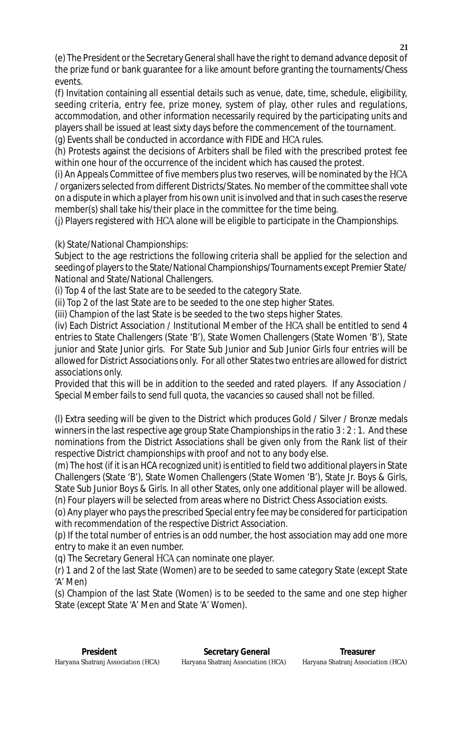(e) The President or the Secretary General shall have the right to demand advance deposit of the prize fund or bank guarantee for a like amount before granting the tournaments/Chess events.

(f) Invitation containing all essential details such as venue, date, time, schedule, eligibility, seeding criteria, entry fee, prize money, system of play, other rules and regulations, accommodation, and other information necessarily required by the participating units and players shall be issued at least sixty days before the commencement of the tournament. (g) Events shall be conducted in accordance with FIDE and HCA rules.

(h) Protests against the decisions of Arbiters shall be filed with the prescribed protest fee within one hour of the occurrence of the incident which has caused the protest.

(i) An Appeals Committee of five members plus two reserves, will be nominated by the HCA / organizers selected from different Districts/States. No member of the committee shall vote on a dispute in which a player from his own unit is involved and that in such cases the reserve member(s) shall take his/their place in the committee for the time being.

(j) Players registered with HCA alone will be eligible to participate in the Championships.

(k) State/National Championships:

Subject to the age restrictions the following criteria shall be applied for the selection and seeding of players to the State/National Championships/Tournaments except Premier State/ National and State/National Challengers.

(i) Top 4 of the last State are to be seeded to the category State.

(ii) Top 2 of the last State are to be seeded to the one step higher States.

(iii) Champion of the last State is be seeded to the two steps higher States.

(iv) Each District Association / Institutional Member of the HCA shall be entitled to send 4 entries to State Challengers (State 'B'), State Women Challengers (State Women 'B'), State junior and State Junior girls. For State Sub Junior and Sub Junior Girls four entries will be allowed for District Associations only. For all other States two entries are allowed for district associations only.

Provided that this will be in addition to the seeded and rated players. If any Association / Special Member fails to send full quota, the vacancies so caused shall not be filled.

(l) Extra seeding will be given to the District which produces Gold / Silver / Bronze medals winners in the last respective age group State Championships in the ratio 3 : 2 : 1. And these nominations from the District Associations shall be given only from the Rank list of their respective District championships with proof and not to any body else.

(m) The host (if it is an HCA recognized unit) is entitled to field two additional players in State Challengers (State 'B'), State Women Challengers (State Women 'B'), State Jr. Boys & Girls, State Sub Junior Boys & Girls. In all other States, only one additional player will be allowed. (n) Four players will be selected from areas where no District Chess Association exists.

(o) Any player who pays the prescribed Special entry fee may be considered for participation with recommendation of the respective District Association.

(p) If the total number of entries is an odd number, the host association may add one more entry to make it an even number.

(q) The Secretary General HCA can nominate one player.

(r) 1 and 2 of the last State (Women) are to be seeded to same category State (except State 'A' Men)

(s) Champion of the last State (Women) is to be seeded to the same and one step higher State (except State 'A' Men and State 'A' Women).